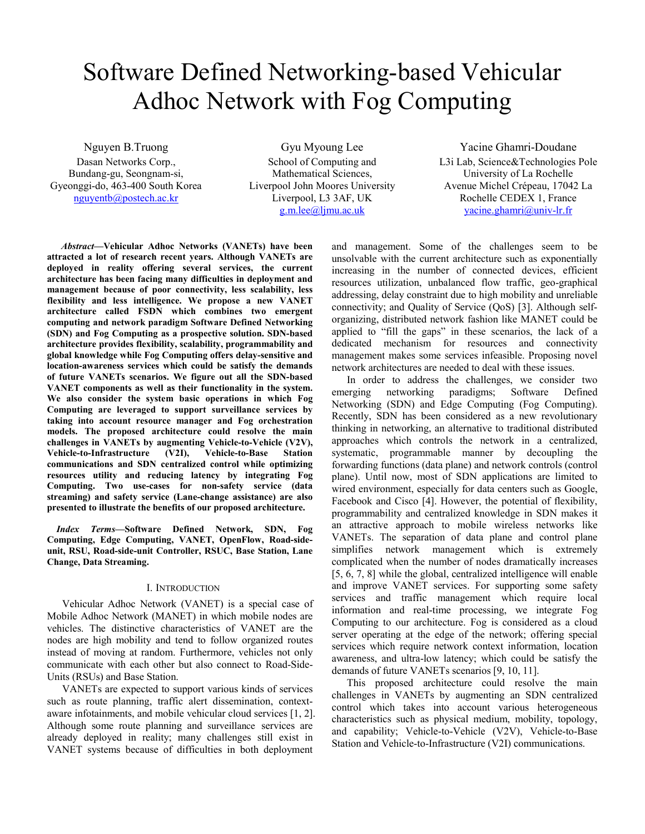# Software Defined Networking-based Vehicular Adhoc Network with Fog Computing

Nguyen B.Truong

Dasan Networks Corp., Bundang-gu, Seongnam-si, Gyeonggi-do, 463-400 South Korea nguyentb@postech.ac.kr

Gyu Myoung Lee School of Computing and Mathematical Sciences, Liverpool John Moores University Liverpool, L3 3AF, UK g.m.lee@ljmu.ac.uk

Yacine Ghamri-Doudane L3i Lab, Science&Technologies Pole University of La Rochelle Avenue Michel Crépeau, 17042 La Rochelle CEDEX 1, France  $yacine.ghamri@univ-lr.fr$ 

*Abstract***—Vehicular Adhoc Networks (VANETs) have been attracted a lot of research recent years. Although VANETs are deployed in reality offering several services, the current architecture has been facing many difficulties in deployment and management because of poor connectivity, less scalability, less flexibility and less intelligence. We propose a new VANET architecture called FSDN which combines two emergent computing and network paradigm Software Defined Networking (SDN) and Fog Computing as a prospective solution. SDN-based architecture provides flexibility, scalability, programmability and global knowledge while Fog Computing offers delay-sensitive and location-awareness services which could be satisfy the demands of future VANETs scenarios. We figure out all the SDN-based VANET components as well as their functionality in the system. We also consider the system basic operations in which Fog Computing are leveraged to support surveillance services by taking into account resource manager and Fog orchestration models. The proposed architecture could resolve the main challenges in VANETs by augmenting Vehicle-to-Vehicle (V2V), Vehicle-to-Infrastructure (V2I), Vehicle-to-Base Station communications and SDN centralized control while optimizing resources utility and reducing latency by integrating Fog Computing. Two use-cases for non-safety service (data streaming) and safety service (Lane-change assistance) are also presented to illustrate the benefits of our proposed architecture.** 

*Index Terms***—Software Defined Network, SDN, Fog Computing, Edge Computing, VANET, OpenFlow, Road-sideunit, RSU, Road-side-unit Controller, RSUC, Base Station, Lane Change, Data Streaming.** 

# I. INTRODUCTION

Vehicular Adhoc Network (VANET) is a special case of Mobile Adhoc Network (MANET) in which mobile nodes are vehicles. The distinctive characteristics of VANET are the nodes are high mobility and tend to follow organized routes instead of moving at random. Furthermore, vehicles not only communicate with each other but also connect to Road-Side-Units (RSUs) and Base Station.

VANETs are expected to support various kinds of services such as route planning, traffic alert dissemination, contextaware infotainments, and mobile vehicular cloud services [1, 2]. Although some route planning and surveillance services are already deployed in reality; many challenges still exist in VANET systems because of difficulties in both deployment

and management. Some of the challenges seem to be unsolvable with the current architecture such as exponentially increasing in the number of connected devices, efficient resources utilization, unbalanced flow traffic, geo-graphical addressing, delay constraint due to high mobility and unreliable connectivity; and Quality of Service (QoS) [3]. Although selforganizing, distributed network fashion like MANET could be applied to "fill the gaps" in these scenarios, the lack of a dedicated mechanism for resources and connectivity management makes some services infeasible. Proposing novel network architectures are needed to deal with these issues.

In order to address the challenges, we consider two emerging networking paradigms; Software Defined Networking (SDN) and Edge Computing (Fog Computing). Recently, SDN has been considered as a new revolutionary thinking in networking, an alternative to traditional distributed approaches which controls the network in a centralized, systematic, programmable manner by decoupling the forwarding functions (data plane) and network controls (control plane). Until now, most of SDN applications are limited to wired environment, especially for data centers such as Google, Facebook and Cisco [4]. However, the potential of flexibility, programmability and centralized knowledge in SDN makes it an attractive approach to mobile wireless networks like VANETs. The separation of data plane and control plane simplifies network management which is extremely complicated when the number of nodes dramatically increases [5, 6, 7, 8] while the global, centralized intelligence will enable and improve VANET services. For supporting some safety services and traffic management which require local information and real-time processing, we integrate Fog Computing to our architecture. Fog is considered as a cloud server operating at the edge of the network; offering special services which require network context information, location awareness, and ultra-low latency; which could be satisfy the demands of future VANETs scenarios [9, 10, 11].

This proposed architecture could resolve the main challenges in VANETs by augmenting an SDN centralized control which takes into account various heterogeneous characteristics such as physical medium, mobility, topology, and capability; Vehicle-to-Vehicle (V2V), Vehicle-to-Base Station and Vehicle-to-Infrastructure (V2I) communications.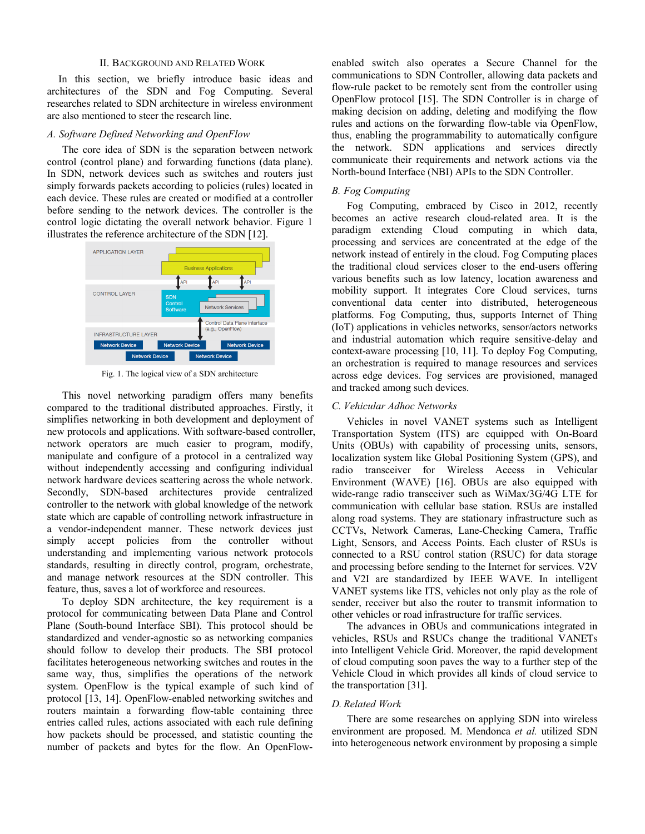## II. BACKGROUND AND RELATED WORK

In this section, we briefly introduce basic ideas and architectures of the SDN and Fog Computing. Several researches related to SDN architecture in wireless environment are also mentioned to steer the research line.

#### *A. Software Defined Networking and OpenFlow*

The core idea of SDN is the separation between network control (control plane) and forwarding functions (data plane). In SDN, network devices such as switches and routers just simply forwards packets according to policies (rules) located in each device. These rules are created or modified at a controller before sending to the network devices. The controller is the control logic dictating the overall network behavior. Figure 1 illustrates the reference architecture of the SDN [12].



Fig. 1. The logical view of a SDN architecture

This novel networking paradigm offers many benefits compared to the traditional distributed approaches. Firstly, it simplifies networking in both development and deployment of new protocols and applications. With software-based controller, network operators are much easier to program, modify, manipulate and configure of a protocol in a centralized way without independently accessing and configuring individual network hardware devices scattering across the whole network. Secondly, SDN-based architectures provide centralized controller to the network with global knowledge of the network state which are capable of controlling network infrastructure in a vendor-independent manner. These network devices just simply accept policies from the controller without understanding and implementing various network protocols standards, resulting in directly control, program, orchestrate, and manage network resources at the SDN controller. This feature, thus, saves a lot of workforce and resources.

To deploy SDN architecture, the key requirement is a protocol for communicating between Data Plane and Control Plane (South-bound Interface SBI). This protocol should be standardized and vender-agnostic so as networking companies should follow to develop their products. The SBI protocol facilitates heterogeneous networking switches and routes in the same way, thus, simplifies the operations of the network system. OpenFlow is the typical example of such kind of protocol [13, 14]. OpenFlow-enabled networking switches and routers maintain a forwarding flow-table containing three entries called rules, actions associated with each rule defining how packets should be processed, and statistic counting the number of packets and bytes for the flow. An OpenFlowenabled switch also operates a Secure Channel for the communications to SDN Controller, allowing data packets and flow-rule packet to be remotely sent from the controller using OpenFlow protocol [15]. The SDN Controller is in charge of making decision on adding, deleting and modifying the flow rules and actions on the forwarding flow-table via OpenFlow, thus, enabling the programmability to automatically configure the network. SDN applications and services directly communicate their requirements and network actions via the North-bound Interface (NBI) APIs to the SDN Controller.

# *B. Fog Computing*

Fog Computing, embraced by Cisco in 2012, recently becomes an active research cloud-related area. It is the paradigm extending Cloud computing in which data, processing and services are concentrated at the edge of the network instead of entirely in the cloud. Fog Computing places the traditional cloud services closer to the end-users offering various benefits such as low latency, location awareness and mobility support. It integrates Core Cloud services, turns conventional data center into distributed, heterogeneous platforms. Fog Computing, thus, supports Internet of Thing (IoT) applications in vehicles networks, sensor/actors networks and industrial automation which require sensitive-delay and context-aware processing [10, 11]. To deploy Fog Computing, an orchestration is required to manage resources and services across edge devices. Fog services are provisioned, managed and tracked among such devices.

#### *C. Vehicular Adhoc Networks*

Vehicles in novel VANET systems such as Intelligent Transportation System (ITS) are equipped with On-Board Units (OBUs) with capability of processing units, sensors, localization system like Global Positioning System (GPS), and radio transceiver for Wireless Access in Vehicular Environment (WAVE) [16]. OBUs are also equipped with wide-range radio transceiver such as WiMax/3G/4G LTE for communication with cellular base station. RSUs are installed along road systems. They are stationary infrastructure such as CCTVs, Network Cameras, Lane-Checking Camera, Traffic Light, Sensors, and Access Points. Each cluster of RSUs is connected to a RSU control station (RSUC) for data storage and processing before sending to the Internet for services. V2V and V2I are standardized by IEEE WAVE. In intelligent VANET systems like ITS, vehicles not only play as the role of sender, receiver but also the router to transmit information to other vehicles or road infrastructure for traffic services.

The advances in OBUs and communications integrated in vehicles, RSUs and RSUCs change the traditional VANETs into Intelligent Vehicle Grid. Moreover, the rapid development of cloud computing soon paves the way to a further step of the Vehicle Cloud in which provides all kinds of cloud service to the transportation [31].

### *D. Related Work*

There are some researches on applying SDN into wireless environment are proposed. M. Mendonca *et al.* utilized SDN into heterogeneous network environment by proposing a simple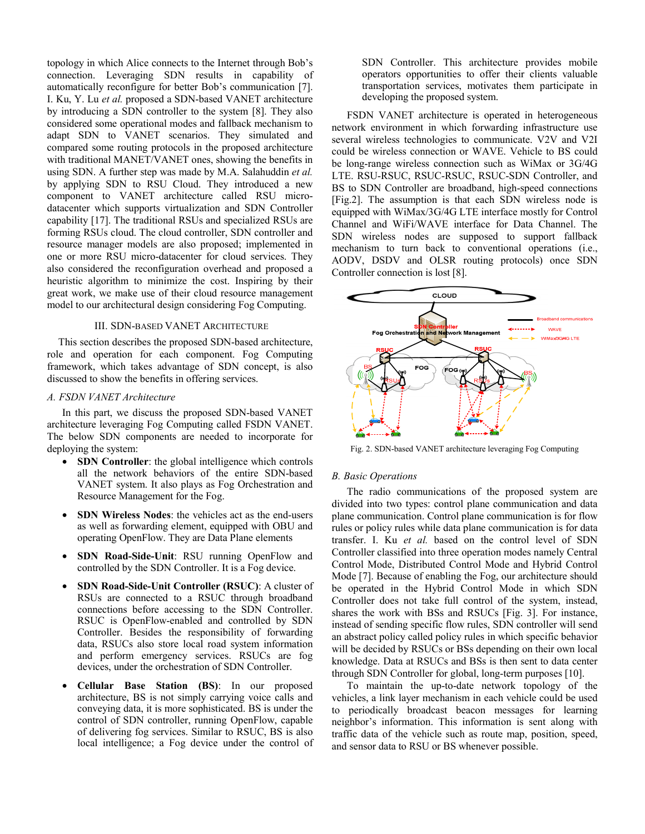topology in which Alice connects to the Internet through Bob's connection. Leveraging SDN results in capability of automatically reconfigure for better Bob's communication [7]. I. Ku, Y. Lu *et al.* proposed a SDN-based VANET architecture by introducing a SDN controller to the system [8]. They also considered some operational modes and fallback mechanism to adapt SDN to VANET scenarios. They simulated and compared some routing protocols in the proposed architecture with traditional MANET/VANET ones, showing the benefits in using SDN. A further step was made by M.A. Salahuddin *et al.* by applying SDN to RSU Cloud. They introduced a new component to VANET architecture called RSU microdatacenter which supports virtualization and SDN Controller capability [17]. The traditional RSUs and specialized RSUs are forming RSUs cloud. The cloud controller, SDN controller and resource manager models are also proposed; implemented in one or more RSU micro-datacenter for cloud services. They also considered the reconfiguration overhead and proposed a heuristic algorithm to minimize the cost. Inspiring by their great work, we make use of their cloud resource management model to our architectural design considering Fog Computing.

# III. SDN-BASED VANET ARCHITECTURE

This section describes the proposed SDN-based architecture, role and operation for each component. Fog Computing framework, which takes advantage of SDN concept, is also discussed to show the benefits in offering services.

## *A. FSDN VANET Architecture*

In this part, we discuss the proposed SDN-based VANET architecture leveraging Fog Computing called FSDN VANET. The below SDN components are needed to incorporate for deploying the system:

- **SDN Controller**: the global intelligence which controls all the network behaviors of the entire SDN-based VANET system. It also plays as Fog Orchestration and Resource Management for the Fog.
- **SDN Wireless Nodes**: the vehicles act as the end-users as well as forwarding element, equipped with OBU and operating OpenFlow. They are Data Plane elements
- **SDN Road-Side-Unit**: RSU running OpenFlow and controlled by the SDN Controller. It is a Fog device.
- **SDN Road-Side-Unit Controller (RSUC)**: A cluster of RSUs are connected to a RSUC through broadband connections before accessing to the SDN Controller. RSUC is OpenFlow-enabled and controlled by SDN Controller. Besides the responsibility of forwarding data, RSUCs also store local road system information and perform emergency services. RSUCs are fog devices, under the orchestration of SDN Controller.
- **Cellular Base Station (BS)**: In our proposed architecture, BS is not simply carrying voice calls and conveying data, it is more sophisticated. BS is under the control of SDN controller, running OpenFlow, capable of delivering fog services. Similar to RSUC, BS is also local intelligence; a Fog device under the control of

SDN Controller. This architecture provides mobile operators opportunities to offer their clients valuable transportation services, motivates them participate in developing the proposed system.

FSDN VANET architecture is operated in heterogeneous network environment in which forwarding infrastructure use several wireless technologies to communicate. V2V and V2I could be wireless connection or WAVE. Vehicle to BS could be long-range wireless connection such as WiMax or 3G/4G LTE. RSU-RSUC, RSUC-RSUC, RSUC-SDN Controller, and BS to SDN Controller are broadband, high-speed connections [Fig.2]. The assumption is that each SDN wireless node is equipped with WiMax/3G/4G LTE interface mostly for Control Channel and WiFi/WAVE interface for Data Channel. The SDN wireless nodes are supposed to support fallback mechanism to turn back to conventional operations (i.e., AODV, DSDV and OLSR routing protocols) once SDN Controller connection is lost [8].



Fig. 2. SDN-based VANET architecture leveraging Fog Computing

## *B. Basic Operations*

The radio communications of the proposed system are divided into two types: control plane communication and data plane communication. Control plane communication is for flow rules or policy rules while data plane communication is for data transfer. I. Ku *et al.* based on the control level of SDN Controller classified into three operation modes namely Central Control Mode, Distributed Control Mode and Hybrid Control Mode [7]. Because of enabling the Fog, our architecture should be operated in the Hybrid Control Mode in which SDN Controller does not take full control of the system, instead, shares the work with BSs and RSUCs [Fig. 3]. For instance, instead of sending specific flow rules, SDN controller will send an abstract policy called policy rules in which specific behavior will be decided by RSUCs or BSs depending on their own local knowledge. Data at RSUCs and BSs is then sent to data center through SDN Controller for global, long-term purposes [10].

To maintain the up-to-date network topology of the vehicles, a link layer mechanism in each vehicle could be used to periodically broadcast beacon messages for learning neighbor's information. This information is sent along with traffic data of the vehicle such as route map, position, speed, and sensor data to RSU or BS whenever possible.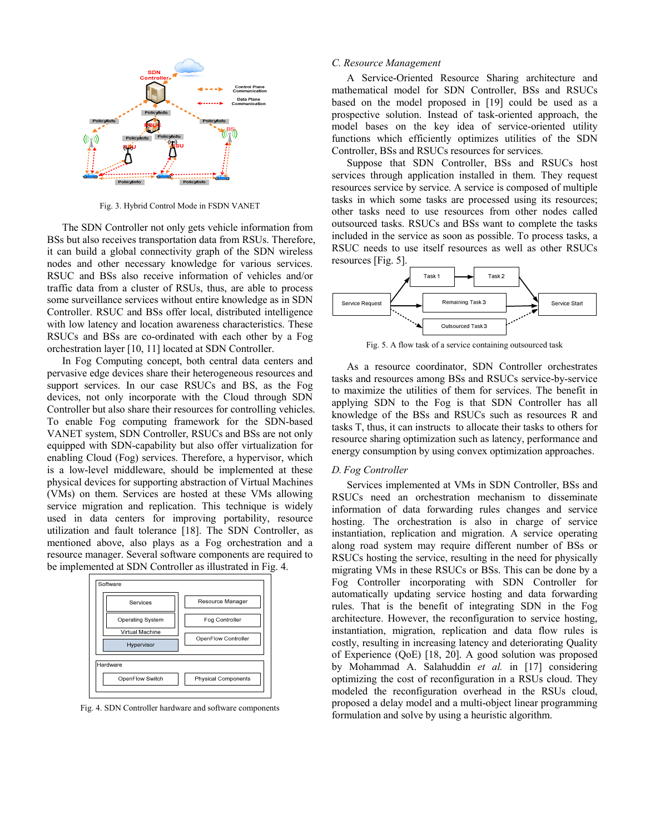

Fig. 3. Hybrid Control Mode in FSDN VANET

The SDN Controller not only gets vehicle information from BSs but also receives transportation data from RSUs. Therefore, it can build a global connectivity graph of the SDN wireless nodes and other necessary knowledge for various services. RSUC and BSs also receive information of vehicles and/or traffic data from a cluster of RSUs, thus, are able to process some surveillance services without entire knowledge as in SDN Controller. RSUC and BSs offer local, distributed intelligence with low latency and location awareness characteristics. These RSUCs and BSs are co-ordinated with each other by a Fog orchestration layer [10, 11] located at SDN Controller.

In Fog Computing concept, both central data centers and pervasive edge devices share their heterogeneous resources and support services. In our case RSUCs and BS, as the Fog devices, not only incorporate with the Cloud through SDN Controller but also share their resources for controlling vehicles. To enable Fog computing framework for the SDN-based VANET system, SDN Controller, RSUCs and BSs are not only equipped with SDN-capability but also offer virtualization for enabling Cloud (Fog) services. Therefore, a hypervisor, which is a low-level middleware, should be implemented at these physical devices for supporting abstraction of Virtual Machines (VMs) on them. Services are hosted at these VMs allowing service migration and replication. This technique is widely used in data centers for improving portability, resource utilization and fault tolerance [18]. The SDN Controller, as mentioned above, also plays as a Fog orchestration and a resource manager. Several software components are required to be implemented at SDN Controller as illustrated in Fig. 4.



Fig. 4. SDN Controller hardware and software components

# *C. Resource Management*

A Service-Oriented Resource Sharing architecture and mathematical model for SDN Controller, BSs and RSUCs based on the model proposed in [19] could be used as a prospective solution. Instead of task-oriented approach, the model bases on the key idea of service-oriented utility functions which efficiently optimizes utilities of the SDN Controller, BSs and RSUCs resources for services.

Suppose that SDN Controller, BSs and RSUCs host services through application installed in them. They request resources service by service. A service is composed of multiple tasks in which some tasks are processed using its resources; other tasks need to use resources from other nodes called outsourced tasks. RSUCs and BSs want to complete the tasks included in the service as soon as possible. To process tasks, a RSUC needs to use itself resources as well as other RSUCs resources [Fig. 5].



Fig. 5. A flow task of a service containing outsourced task

As a resource coordinator, SDN Controller orchestrates tasks and resources among BSs and RSUCs service-by-service to maximize the utilities of them for services. The benefit in applying SDN to the Fog is that SDN Controller has all knowledge of the BSs and RSUCs such as resources R and tasks T, thus, it can instructs to allocate their tasks to others for resource sharing optimization such as latency, performance and energy consumption by using convex optimization approaches.

# *D. Fog Controller*

Services implemented at VMs in SDN Controller, BSs and RSUCs need an orchestration mechanism to disseminate information of data forwarding rules changes and service hosting. The orchestration is also in charge of service instantiation, replication and migration. A service operating along road system may require different number of BSs or RSUCs hosting the service, resulting in the need for physically migrating VMs in these RSUCs or BSs. This can be done by a Fog Controller incorporating with SDN Controller for automatically updating service hosting and data forwarding rules. That is the benefit of integrating SDN in the Fog architecture. However, the reconfiguration to service hosting, instantiation, migration, replication and data flow rules is costly, resulting in increasing latency and deteriorating Quality of Experience (QoE) [18, 20]. A good solution was proposed by Mohammad A. Salahuddin *et al.* in [17] considering optimizing the cost of reconfiguration in a RSUs cloud. They modeled the reconfiguration overhead in the RSUs cloud, proposed a delay model and a multi-object linear programming formulation and solve by using a heuristic algorithm.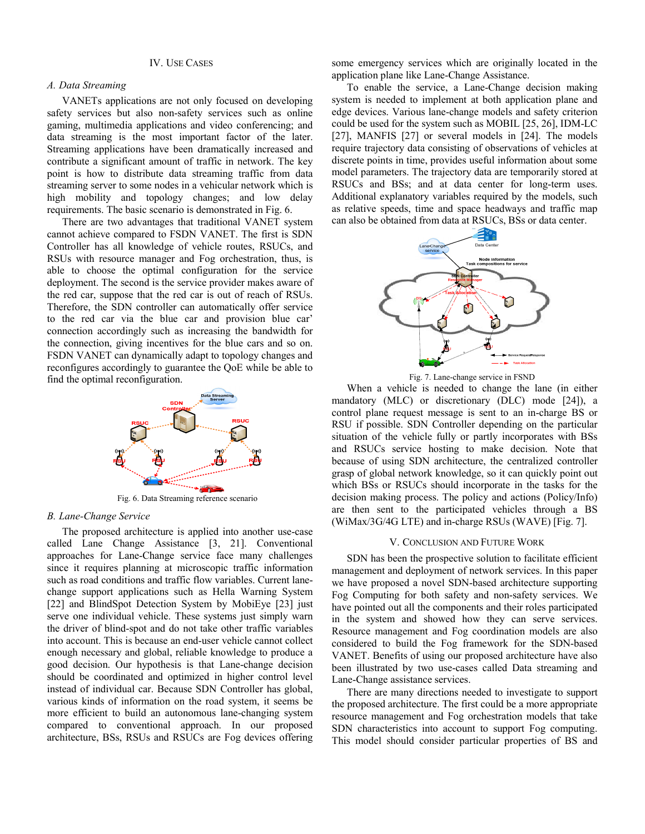#### IV. USE CASES

# *A. Data Streaming*

VANETs applications are not only focused on developing safety services but also non-safety services such as online gaming, multimedia applications and video conferencing; and data streaming is the most important factor of the later. Streaming applications have been dramatically increased and contribute a significant amount of traffic in network. The key point is how to distribute data streaming traffic from data streaming server to some nodes in a vehicular network which is high mobility and topology changes; and low delay requirements. The basic scenario is demonstrated in Fig. 6.

There are two advantages that traditional VANET system cannot achieve compared to FSDN VANET. The first is SDN Controller has all knowledge of vehicle routes, RSUCs, and RSUs with resource manager and Fog orchestration, thus, is able to choose the optimal configuration for the service deployment. The second is the service provider makes aware of the red car, suppose that the red car is out of reach of RSUs. Therefore, the SDN controller can automatically offer service to the red car via the blue car and provision blue car' connection accordingly such as increasing the bandwidth for the connection, giving incentives for the blue cars and so on. FSDN VANET can dynamically adapt to topology changes and reconfigures accordingly to guarantee the QoE while be able to find the optimal reconfiguration.



Fig. 6. Data Streaming reference scenario

# *B. Lane-Change Service*

The proposed architecture is applied into another use-case called Lane Change Assistance [3, 21]. Conventional approaches for Lane-Change service face many challenges since it requires planning at microscopic traffic information such as road conditions and traffic flow variables. Current lanechange support applications such as Hella Warning System [22] and BlindSpot Detection System by MobiEye [23] just serve one individual vehicle. These systems just simply warn the driver of blind-spot and do not take other traffic variables into account. This is because an end-user vehicle cannot collect enough necessary and global, reliable knowledge to produce a good decision. Our hypothesis is that Lane-change decision should be coordinated and optimized in higher control level instead of individual car. Because SDN Controller has global, various kinds of information on the road system, it seems be more efficient to build an autonomous lane-changing system compared to conventional approach. In our proposed architecture, BSs, RSUs and RSUCs are Fog devices offering some emergency services which are originally located in the application plane like Lane-Change Assistance.

To enable the service, a Lane-Change decision making system is needed to implement at both application plane and edge devices. Various lane-change models and safety criterion could be used for the system such as MOBIL [25, 26], IDM-LC [27], MANFIS [27] or several models in [24]. The models require trajectory data consisting of observations of vehicles at discrete points in time, provides useful information about some model parameters. The trajectory data are temporarily stored at RSUCs and BSs; and at data center for long-term uses. Additional explanatory variables required by the models, such as relative speeds, time and space headways and traffic map can also be obtained from data at RSUCs, BSs or data center.





When a vehicle is needed to change the lane (in either mandatory (MLC) or discretionary (DLC) mode [24]), a control plane request message is sent to an in-charge BS or RSU if possible. SDN Controller depending on the particular situation of the vehicle fully or partly incorporates with BSs and RSUCs service hosting to make decision. Note that because of using SDN architecture, the centralized controller grasp of global network knowledge, so it can quickly point out which BSs or RSUCs should incorporate in the tasks for the decision making process. The policy and actions (Policy/Info) are then sent to the participated vehicles through a BS (WiMax/3G/4G LTE) and in-charge RSUs (WAVE) [Fig. 7].

#### V. CONCLUSION AND FUTURE WORK

SDN has been the prospective solution to facilitate efficient management and deployment of network services. In this paper we have proposed a novel SDN-based architecture supporting Fog Computing for both safety and non-safety services. We have pointed out all the components and their roles participated in the system and showed how they can serve services. Resource management and Fog coordination models are also considered to build the Fog framework for the SDN-based VANET. Benefits of using our proposed architecture have also been illustrated by two use-cases called Data streaming and Lane-Change assistance services.

There are many directions needed to investigate to support the proposed architecture. The first could be a more appropriate resource management and Fog orchestration models that take SDN characteristics into account to support Fog computing. This model should consider particular properties of BS and